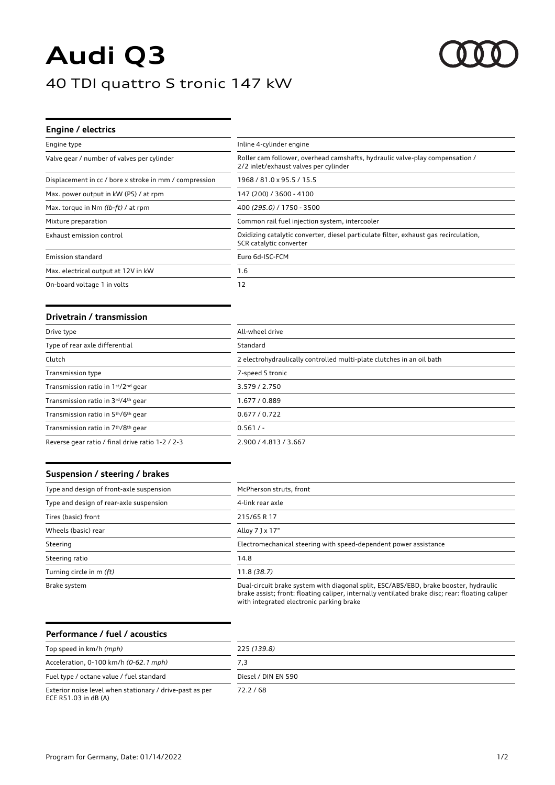# **Audi Q3**

# 40 TDI quattro S tronic 147 kW



# **Engine / electrics**

| Engine type                                            | Inline 4-cylinder engine                                                                                              |
|--------------------------------------------------------|-----------------------------------------------------------------------------------------------------------------------|
| Valve gear / number of valves per cylinder             | Roller cam follower, overhead camshafts, hydraulic valve-play compensation /<br>2/2 inlet/exhaust valves per cylinder |
| Displacement in cc / bore x stroke in mm / compression | 1968 / 81.0 x 95.5 / 15.5                                                                                             |
| Max. power output in kW (PS) / at rpm                  | 147 (200) / 3600 - 4100                                                                                               |
| Max. torque in Nm (lb-ft) / at rpm                     | 400 (295.0) / 1750 - 3500                                                                                             |
| Mixture preparation                                    | Common rail fuel injection system, intercooler                                                                        |
| Exhaust emission control                               | Oxidizing catalytic converter, diesel particulate filter, exhaust gas recirculation,<br>SCR catalytic converter       |
| <b>Emission standard</b>                               | Euro 6d-ISC-FCM                                                                                                       |
| Max. electrical output at 12V in kW                    | 1.6                                                                                                                   |
| On-board voltage 1 in volts                            | 12                                                                                                                    |

#### **Drivetrain / transmission**

| Drive type                                                  | All-wheel drive                                                       |
|-------------------------------------------------------------|-----------------------------------------------------------------------|
| Type of rear axle differential                              | Standard                                                              |
| Clutch                                                      | 2 electrohydraulically controlled multi-plate clutches in an oil bath |
| Transmission type                                           | 7-speed S tronic                                                      |
| Transmission ratio in 1st/2nd gear                          | 3.579 / 2.750                                                         |
| Transmission ratio in 3rd/4th gear                          | 1.677 / 0.889                                                         |
| Transmission ratio in 5 <sup>th</sup> /6 <sup>th</sup> gear | 0.677/0.722                                                           |
| Transmission ratio in 7th/8th gear                          | 0.561/                                                                |
| Reverse gear ratio / final drive ratio 1-2 / 2-3            | 2.900 / 4.813 / 3.667                                                 |

### **Suspension / steering / brakes**

| Type and design of front-axle suspension | McPherson struts, front                                                                                                                                                                                                             |
|------------------------------------------|-------------------------------------------------------------------------------------------------------------------------------------------------------------------------------------------------------------------------------------|
| Type and design of rear-axle suspension  | 4-link rear axle                                                                                                                                                                                                                    |
| Tires (basic) front                      | 215/65 R 17                                                                                                                                                                                                                         |
| Wheels (basic) rear                      | Alloy 7 ] x 17"                                                                                                                                                                                                                     |
| Steering                                 | Electromechanical steering with speed-dependent power assistance                                                                                                                                                                    |
| Steering ratio                           | 14.8                                                                                                                                                                                                                                |
| Turning circle in m (ft)                 | 11.8(38.7)                                                                                                                                                                                                                          |
| Brake system                             | Dual-circuit brake system with diagonal split, ESC/ABS/EBD, brake booster, hydraulic<br>brake assist; front: floating caliper, internally ventilated brake disc; rear: floating caliper<br>with integrated electronic parking brake |

#### **Performance / fuel / acoustics**

| Top speed in km/h (mph)                                                           | 225 (139.8)         |
|-----------------------------------------------------------------------------------|---------------------|
| Acceleration, 0-100 km/h (0-62.1 mph)                                             | 7.3                 |
| Fuel type / octane value / fuel standard                                          | Diesel / DIN EN 590 |
| Exterior noise level when stationary / drive-past as per<br>ECE R51.03 in $dB(A)$ | 72.2/68             |

Program for Germany, Date: 01/14/2022 1/2